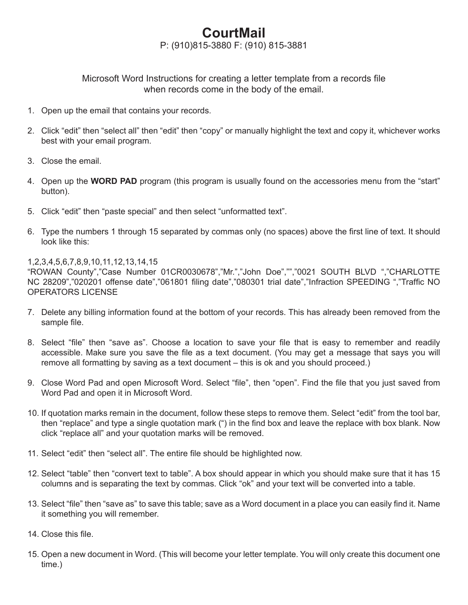## **CourtMail**

P: (910)815-3880 F: (910) 815-3881

Microsoft Word Instructions for creating a letter template from a records file when records come in the body of the email.

- 1. Open up the email that contains your records.
- 2. Click "edit" then "select all" then "edit" then "copy" or manually highlight the text and copy it, whichever works best with your email program.
- 3. Close the email.
- 4. Open up the **WORD PAD** program (this program is usually found on the accessories menu from the "start" button).
- 5. Click "edit" then "paste special" and then select "unformatted text".
- 6. Type the numbers 1 through 15 separated by commas only (no spaces) above the first line of text. It should look like this:

## 1,2,3,4,5,6,7,8,9,10,11,12,13,14,15

"ROWAN County","Case Number 01CR0030678","Mr.","John Doe","","0021 SOUTH BLVD ","CHARLOTTE NC 28209","020201 offense date","061801 filing date","080301 trial date","Infraction SPEEDING ","Traffic NO OPERATORS LICENSE

- 7. Delete any billing information found at the bottom of your records. This has already been removed from the sample file.
- 8. Select "file" then "save as". Choose a location to save your file that is easy to remember and readily accessible. Make sure you save the file as a text document. (You may get a message that says you will remove all formatting by saving as a text document – this is ok and you should proceed.)
- 9. Close Word Pad and open Microsoft Word. Select "file", then "open". Find the file that you just saved from Word Pad and open it in Microsoft Word.
- 10. If quotation marks remain in the document, follow these steps to remove them. Select "edit" from the tool bar, then "replace" and type a single quotation mark (") in the find box and leave the replace with box blank. Now click "replace all" and your quotation marks will be removed.
- 11. Select "edit" then "select all". The entire file should be highlighted now.
- 12. Select "table" then "convert text to table". A box should appear in which you should make sure that it has 15 columns and is separating the text by commas. Click "ok" and your text will be converted into a table.
- 13. Select "file" then "save as" to save this table; save as a Word document in a place you can easily find it. Name it something you will remember.
- 14. Close this file.
- 15. Open a new document in Word. (This will become your letter template. You will only create this document one time.)